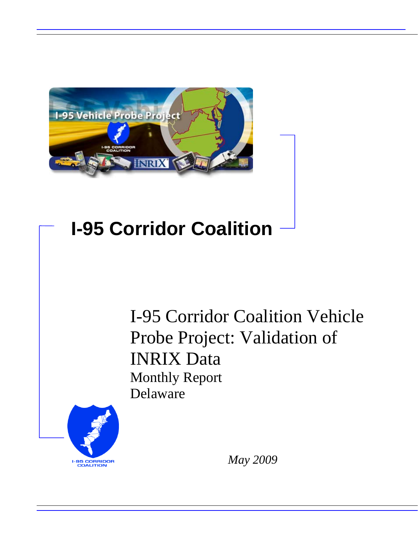

# **I-95 Corridor Coalition**

I-95 Corridor Coalition Vehicle Probe Project: Validation of INRIX Data Monthly Report Delaware



*May 2009*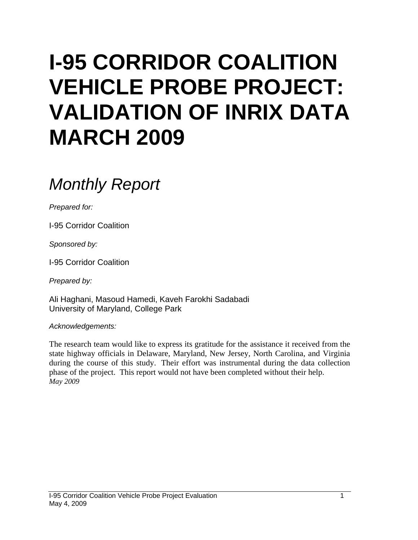# **I-95 CORRIDOR COALITION VEHICLE PROBE PROJECT: VALIDATION OF INRIX DATA MARCH 2009**

# *Monthly Report*

*Prepared for:* 

I-95 Corridor Coalition

*Sponsored by:* 

I-95 Corridor Coalition

*Prepared by:* 

Ali Haghani, Masoud Hamedi, Kaveh Farokhi Sadabadi University of Maryland, College Park

*Acknowledgements:* 

The research team would like to express its gratitude for the assistance it received from the state highway officials in Delaware, Maryland, New Jersey, North Carolina, and Virginia during the course of this study. Their effort was instrumental during the data collection phase of the project. This report would not have been completed without their help. *May 2009*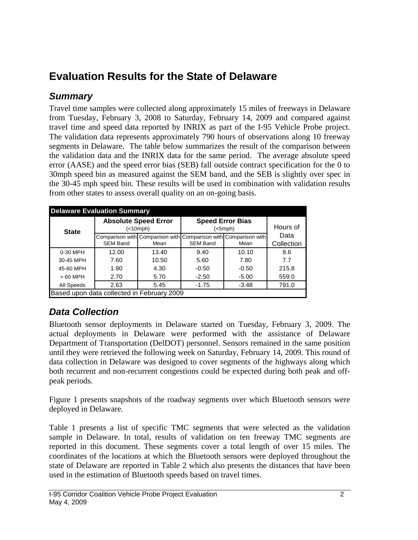# **Evaluation Results for the State of Delaware**

### *Summary*

Travel time samples were collected along approximately 15 miles of freeways in Delaware from Tuesday, February 3, 2008 to Saturday, February 14, 2009 and compared against travel time and speed data reported by INRIX as part of the I-95 Vehicle Probe project. The validation data represents approximately 790 hours of observations along 10 freeway segments in Delaware. The table below summarizes the result of the comparison between the validation data and the INRIX data for the same period. The average absolute speed error (AASE) and the speed error bias (SEB) fall outside contract specification for the 0 to 30mph speed bin as measured against the SEM band, and the SEB is slightly over spec in the 30-45 mph speed bin. These results will be used in combination with validation results from other states to assess overall quality on an on-going basis.

| <b>Delaware Evaluation Summary</b>         |                 |                                          |                                    |                                                                 |            |  |  |  |  |
|--------------------------------------------|-----------------|------------------------------------------|------------------------------------|-----------------------------------------------------------------|------------|--|--|--|--|
| <b>State</b>                               |                 | <b>Absolute Speed Error</b><br>(<10 mph) | <b>Speed Error Bias</b><br>(<5mph) | Hours of                                                        |            |  |  |  |  |
|                                            |                 |                                          |                                    | Comparison with Comparison with Comparison with Comparison with | Data       |  |  |  |  |
|                                            | <b>SEM Band</b> | Mean                                     | <b>SEM Band</b>                    | Mean                                                            | Collection |  |  |  |  |
| 0-30 MPH                                   | 12.00           | 13.40                                    | 9.40                               | 10.10                                                           | 8.6        |  |  |  |  |
| 30-45 MPH                                  | 7.60            | 10.50                                    | 5.60                               | 7.80                                                            | 7.7        |  |  |  |  |
| 45-60 MPH                                  | 1.90            | 4.30                                     | $-0.50$                            | $-0.50$                                                         | 215.8      |  |  |  |  |
| $>60$ MPH                                  | 2.70            | 5.70                                     | $-2.50$                            | $-5.00$                                                         | 559.0      |  |  |  |  |
| All Speeds                                 | 2.63            | 5.45                                     | $-1.75$                            | $-3.48$                                                         | 791.0      |  |  |  |  |
| Based upon data collected in February 2009 |                 |                                          |                                    |                                                                 |            |  |  |  |  |

## *Data Collection*

Bluetooth sensor deployments in Delaware started on Tuesday, February 3, 2009. The actual deployments in Delaware were performed with the assistance of Delaware Department of Transportation (DelDOT) personnel. Sensors remained in the same position until they were retrieved the following week on Saturday, February 14, 2009. This round of data collection in Delaware was designed to cover segments of the highways along which both recurrent and non-recurrent congestions could be expected during both peak and offpeak periods.

Figure 1 presents snapshots of the roadway segments over which Bluetooth sensors were deployed in Delaware.

Table 1 presents a list of specific TMC segments that were selected as the validation sample in Delaware. In total, results of validation on ten freeway TMC segments are reported in this document. These segments cover a total length of over 15 miles. The coordinates of the locations at which the Bluetooth sensors were deployed throughout the state of Delaware are reported in Table 2 which also presents the distances that have been used in the estimation of Bluetooth speeds based on travel times.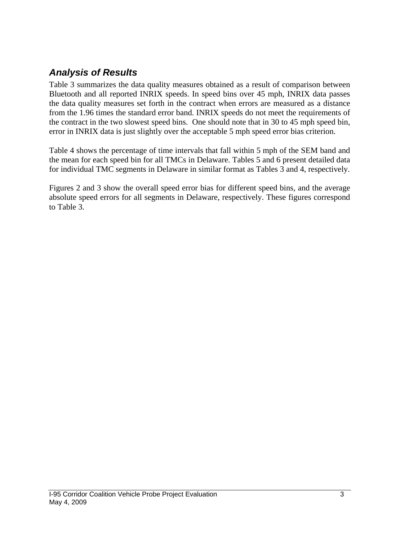### *Analysis of Results*

Table 3 summarizes the data quality measures obtained as a result of comparison between Bluetooth and all reported INRIX speeds. In speed bins over 45 mph, INRIX data passes the data quality measures set forth in the contract when errors are measured as a distance from the 1.96 times the standard error band. INRIX speeds do not meet the requirements of the contract in the two slowest speed bins. One should note that in 30 to 45 mph speed bin, error in INRIX data is just slightly over the acceptable 5 mph speed error bias criterion.

Table 4 shows the percentage of time intervals that fall within 5 mph of the SEM band and the mean for each speed bin for all TMCs in Delaware. Tables 5 and 6 present detailed data for individual TMC segments in Delaware in similar format as Tables 3 and 4, respectively.

Figures 2 and 3 show the overall speed error bias for different speed bins, and the average absolute speed errors for all segments in Delaware, respectively. These figures correspond to Table 3.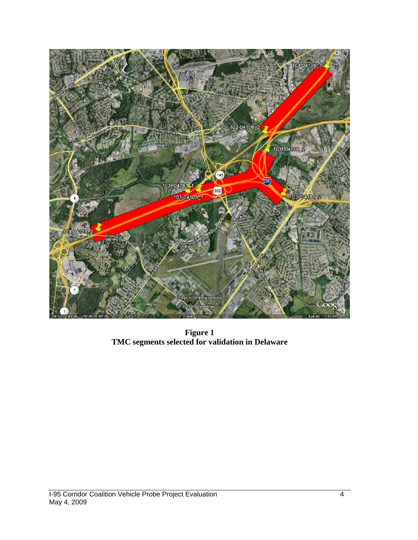

**Figure 1 TMC segments selected for validation in Delaware**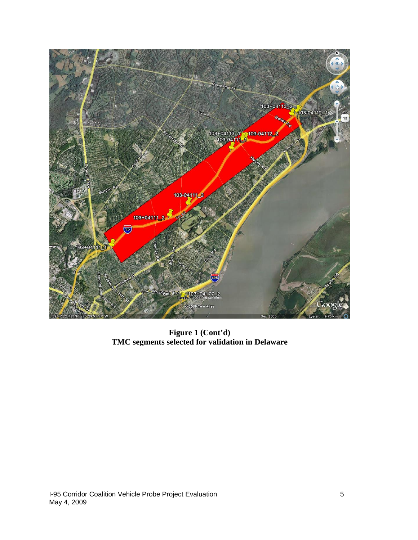

**Figure 1 (Cont'd) TMC segments selected for validation in Delaware**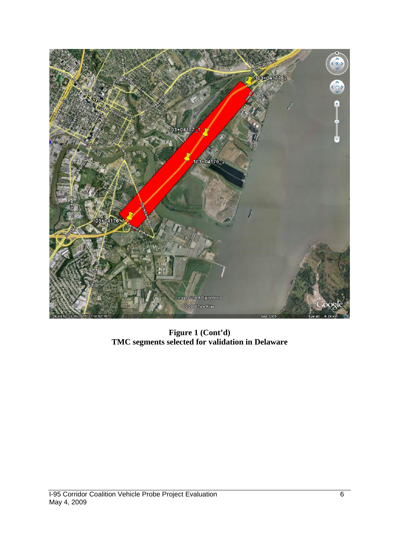

**Figure 1 (Cont'd) TMC segments selected for validation in Delaware**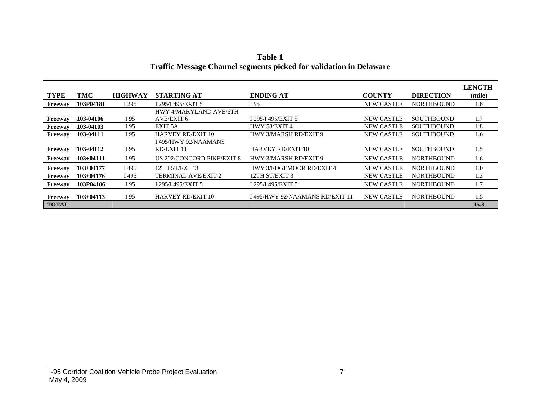|                |             |                |                            |                                 |                   |                   | LENGTH |
|----------------|-------------|----------------|----------------------------|---------------------------------|-------------------|-------------------|--------|
| <b>TYPE</b>    | TMC         | <b>HIGHWAY</b> | <b>STARTING AT</b>         | <b>ENDING AT</b>                | <b>COUNTY</b>     | <b>DIRECTION</b>  | (mile) |
| Freeway        | 103P04181   | I 295          | I 295/I 495/EXIT 5         | I 95                            | <b>NEW CASTLE</b> | <b>NORTHBOUND</b> | 1.6    |
|                |             |                | HWY 4/MARYLAND AVE/6TH     |                                 |                   |                   |        |
| Freeway        | 103-04106   | I 95           | AVE/EXIT 6                 | I 295/I 495/EXIT 5              | <b>NEW CASTLE</b> | <b>SOUTHBOUND</b> | 1.7    |
| Freeway        | 103-04103   | I 95           | EXIT 5A                    | HWY 58/EXIT 4                   | <b>NEW CASTLE</b> | <b>SOUTHBOUND</b> | 1.8    |
| Freeway        | 103-04111   | I 95           | <b>HARVEY RD/EXIT 10</b>   | HWY 3/MARSH RD/EXIT 9           | <b>NEW CASTLE</b> | <b>SOUTHBOUND</b> | 1.6    |
|                |             |                | I 495/HWY 92/NAAMANS       |                                 |                   |                   |        |
| <b>Freeway</b> | 103-04112   | I 95           | RD/EXIT 11                 | <b>HARVEY RD/EXIT 10</b>        | <b>NEW CASTLE</b> | <b>SOUTHBOUND</b> | 1.5    |
| Freeway        | $103+04111$ | I 95           | US 202/CONCORD PIKE/EXIT 8 | HWY 3/MARSH RD/EXIT 9           | <b>NEW CASTLE</b> | <b>NORTHBOUND</b> | 1.6    |
| Freeway        | $103+04177$ | I 495          | 12TH ST/EXIT 3             | <b>HWY 3/EDGEMOOR RD/EXIT 4</b> | <b>NEW CASTLE</b> | <b>NORTHBOUND</b> | 1.0    |
| <b>Freeway</b> | $103+04176$ | I 495          | <b>TERMINAL AVE/EXIT 2</b> | 12TH ST/EXIT 3                  | <b>NEW CASTLE</b> | <b>NORTHBOUND</b> | 1.3    |
| Freeway        | 103P04106   | I 95           | I 295/I 495/EXIT 5         | I 295/I 495/EXIT 5              | <b>NEW CASTLE</b> | <b>NORTHBOUND</b> | 1.7    |
| Freeway        | $103+04113$ | I 95           | <b>HARVEY RD/EXIT 10</b>   | I 495/HWY 92/NAAMANS RD/EXIT 11 | <b>NEW CASTLE</b> | <b>NORTHBOUND</b> | 1.5    |
| <b>TOTAL</b>   |             |                |                            |                                 |                   |                   | 15.3   |

**Table 1 Traffic Message Channel segments picked for validation in Delaware**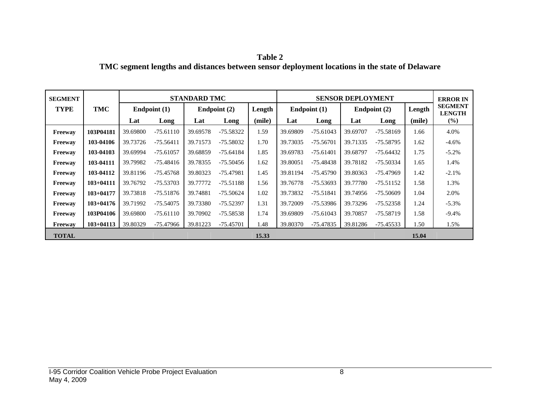| Table 2                                                                                        |
|------------------------------------------------------------------------------------------------|
| TMC segment lengths and distances between sensor deployment locations in the state of Delaware |

| <b>SEGMENT</b> |               |          |                | <b>STANDARD TMC</b> |                |        | <b>SENSOR DEPLOYMENT</b> |                |          |                          |        | <b>ERROR IN</b>                 |
|----------------|---------------|----------|----------------|---------------------|----------------|--------|--------------------------|----------------|----------|--------------------------|--------|---------------------------------|
| <b>TYPE</b>    | TMC           |          | Endpoint $(1)$ |                     | Endpoint $(2)$ | Length |                          | Endpoint $(1)$ |          | Endpoint $(2)$<br>Length |        | <b>SEGMENT</b><br><b>LENGTH</b> |
|                |               | Lat      | Long           | Lat                 | Long           | (mile) | Lat                      | Long           | Lat      | Long                     | (mile) | $\frac{6}{2}$                   |
| Freeway        | 103P04181     | 39.69800 | $-75.61110$    | 39.69578            | -75.58322      | 1.59   | 39.69809                 | $-75.61043$    | 39.69707 | $-75.58169$              | 1.66   | 4.0%                            |
| <b>Freeway</b> | 103-04106     | 39.73726 | $-75.56411$    | 39.71573            | -75.58032      | 1.70   | 39.73035                 | $-75.56701$    | 39.71335 | -75.58795                | 1.62   | $-4.6%$                         |
| Freeway        | 103-04103     | 39.69994 | $-75.61057$    | 39.68859            | $-75.64184$    | 1.85   | 39.69783                 | $-75.61401$    | 39.68797 | $-75.64432$              | 1.75   | $-5.2%$                         |
| Freeway        | 103-04111     | 39.79982 | -75.48416      | 39.78355            | -75.50456      | 1.62   | 39.80051                 | -75.48438      | 39.78182 | -75.50334                | 1.65   | 1.4%                            |
| Freeway        | 103-04112     | 39.81196 | $-75.45768$    | 39.80323            | $-75.47981$    | 1.45   | 39.81194                 | $-75.45790$    | 39.80363 | $-75.47969$              | 1.42   | $-2.1%$                         |
| Freeway        | $103+04111$   | 39.76792 | -75.53703      | 39.77772            | $-75.51188$    | 1.56   | 39.76778                 | -75.53693      | 39.77780 | $-75.51152$              | 1.58   | 1.3%                            |
| Freeway        | $103 + 04177$ | 39.73818 | $-75.51876$    | 39.74881            | $-75.50624$    | 1.02   | 39.73832                 | $-75.51841$    | 39.74956 | $-75.50609$              | 1.04   | 2.0%                            |
| Freeway        | $103+04176$   | 39.71992 | -75.54075      | 39.73380            | $-75.52397$    | 1.31   | 39.72009                 | -75.53986      | 39.73296 | $-75.52358$              | 1.24   | $-5.3\%$                        |
| Freeway        | 103P04106     | 39.69800 | $-75.61110$    | 39.70902            | $-75.58538$    | 1.74   | 39.69809                 | $-75.61043$    | 39.70857 | -75.58719                | 1.58   | $-9.4\%$                        |
| Freeway        | $103 + 04113$ | 39.80329 | -75.47966      | 39.81223            | $-75.45701$    | 1.48   | 39.80370                 | -75.47835      | 39.81286 | -75.45533                | 1.50   | 1.5%                            |
| <b>TOTAL</b>   |               |          |                |                     |                | 15.33  |                          |                |          |                          | 15.04  |                                 |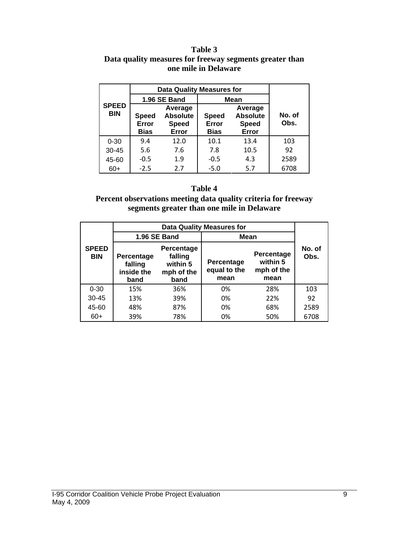#### **Table 3 Data quality measures for freeway segments greater than one mile in Delaware**

|                            | Data Quality Measures for     |                                                     |                                      |                                                     |                |
|----------------------------|-------------------------------|-----------------------------------------------------|--------------------------------------|-----------------------------------------------------|----------------|
| <b>SPEED</b><br><b>BIN</b> |                               | <b>1.96 SE Band</b>                                 | <b>Mean</b>                          |                                                     |                |
|                            | <b>Speed</b><br>Error<br>Bias | Average<br><b>Absolute</b><br><b>Speed</b><br>Error | <b>Speed</b><br>Error<br><b>Bias</b> | Average<br><b>Absolute</b><br><b>Speed</b><br>Error | No. of<br>Obs. |
| $0 - 30$                   | 9.4                           | 12.0                                                | 10.1                                 | 13.4                                                | 103            |
| $30 - 45$                  | 5.6                           | 7.6                                                 | 7.8                                  | 10.5                                                | 92             |
| 45-60                      | $-0.5$                        | 1.9                                                 | $-0.5$                               | 4.3                                                 | 2589           |
| $60+$                      | $-2.5$                        | 2.7                                                 | $-5.0$                               | 5.7                                                 | 6708           |

#### **Table 4**

#### **Percent observations meeting data quality criteria for freeway segments greater than one mile in Delaware**

|                            |                                                                                                        | 1.96 SE Band | Mean                               |                                              |                |  |
|----------------------------|--------------------------------------------------------------------------------------------------------|--------------|------------------------------------|----------------------------------------------|----------------|--|
| <b>SPEED</b><br><b>BIN</b> | Percentage<br>falling<br>Percentage<br>within 5<br>falling<br>inside the<br>mph of the<br>band<br>band |              | Percentage<br>equal to the<br>mean | Percentage<br>within 5<br>mph of the<br>mean | No. of<br>Obs. |  |
| $0 - 30$                   | 15%                                                                                                    | 36%          | 0%                                 | 28%                                          | 103            |  |
| $30 - 45$                  | 13%                                                                                                    | 39%          | 0%                                 | 22%                                          | 92             |  |
| 45-60                      | 48%                                                                                                    | 87%          | 0%                                 | 68%                                          | 2589           |  |
| $60+$                      | 39%                                                                                                    | 78%          | 0%                                 | 50%                                          | 6708           |  |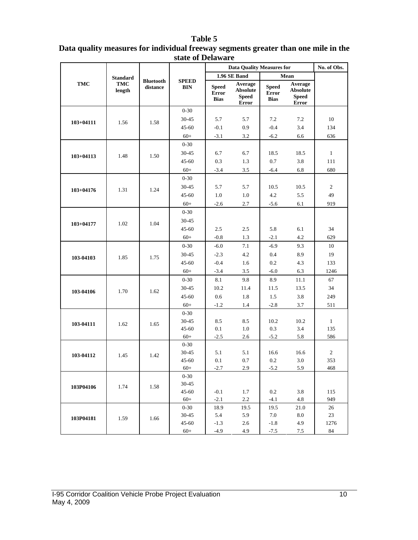#### **Table 5**

| Data quality measures for individual freeway segments greater than one mile in the |  |
|------------------------------------------------------------------------------------|--|
| state of Delaware                                                                  |  |

|               |                 |                              |                            |                                      | <b>Data Quality Measures for</b>                           | No. of Obs.                                 |                                                            |                     |
|---------------|-----------------|------------------------------|----------------------------|--------------------------------------|------------------------------------------------------------|---------------------------------------------|------------------------------------------------------------|---------------------|
|               | <b>Standard</b> |                              |                            |                                      | 1.96 SE Band                                               |                                             | Mean                                                       |                     |
| <b>TMC</b>    | TMC<br>length   | <b>Bluetooth</b><br>distance | <b>SPEED</b><br><b>BIN</b> | <b>Speed</b><br>Error<br><b>Bias</b> | Average<br><b>Absolute</b><br><b>Speed</b><br><b>Error</b> | <b>Speed</b><br><b>Error</b><br><b>Bias</b> | Average<br><b>Absolute</b><br><b>Speed</b><br><b>Error</b> |                     |
|               |                 |                              | $0 - 30$                   |                                      |                                                            |                                             |                                                            |                     |
| $103 + 04111$ | 1.56            | 1.58                         | $30 - 45$                  | 5.7                                  | 5.7                                                        | 7.2                                         | 7.2                                                        | 10                  |
|               |                 |                              | $45 - 60$                  | $-0.1$                               | 0.9                                                        | $-0.4$                                      | 3.4                                                        | 134                 |
|               |                 |                              | $60+$                      | $-3.1$                               | 3.2                                                        | $-6.2$                                      | 6.6                                                        | 636                 |
|               |                 |                              | $0 - 30$                   |                                      |                                                            |                                             |                                                            |                     |
| $103 + 04113$ | 1.48            | 1.50                         | $30 - 45$                  | 6.7                                  | 6.7                                                        | 18.5                                        | 18.5                                                       | $\mathbf{1}$        |
|               |                 |                              | $45 - 60$                  | 0.3                                  | 1.3                                                        | 0.7                                         | 3.8                                                        | 111                 |
|               |                 |                              | $60+$                      | $-3.4$                               | 3.5                                                        | $-6.4$                                      | 6.8                                                        | 680                 |
|               |                 |                              | $0 - 30$                   |                                      |                                                            |                                             |                                                            |                     |
| $103 + 04176$ | 1.31            | 1.24                         | $30 - 45$                  | 5.7                                  | 5.7                                                        | 10.5                                        | 10.5                                                       | 2                   |
|               |                 |                              | $45 - 60$                  | 1.0                                  | 1.0                                                        | 4.2                                         | 5.5                                                        | 49                  |
|               |                 |                              | $60+$                      | $-2.6$                               | 2.7                                                        | $-5.6$                                      | 6.1                                                        | 919                 |
|               |                 |                              | $0 - 30$                   |                                      |                                                            |                                             |                                                            |                     |
| $103 + 04177$ | 1.02            | 1.04                         | $30 - 45$                  |                                      |                                                            |                                             |                                                            |                     |
|               |                 |                              | $45 - 60$                  | 2.5                                  | 2.5                                                        | 5.8                                         | 6.1                                                        | 34                  |
|               |                 |                              | $60+$                      | $-0.8$                               | 1.3                                                        | $-2.1$                                      | 4.2                                                        | 629                 |
| 103-04103     | 1.85            | 1.75                         | $0 - 30$                   | $-6.0$                               | 7.1                                                        | $-6.9$                                      | 9.3                                                        | 10                  |
|               |                 |                              | $30 - 45$                  | $-2.3$                               | 4.2                                                        | 0.4                                         | 8.9                                                        | 19                  |
|               |                 |                              | $45 - 60$                  | $-0.4$                               | 1.6                                                        | 0.2                                         | 4.3                                                        | 133                 |
|               |                 |                              | $60+$                      | $-3.4$                               | 3.5                                                        | $-6.0$                                      | 6.3                                                        | 1246                |
|               |                 |                              | $0 - 30$                   | 8.1                                  | 9.8                                                        | 8.9                                         | 11.1                                                       | 67                  |
| 103-04106     | 1.70            | 1.62                         | $30 - 45$                  | 10.2                                 | 11.4                                                       | 11.5                                        | 13.5                                                       | 34                  |
|               |                 |                              | $45 - 60$                  | 0.6                                  | 1.8                                                        | 1.5                                         | 3.8                                                        | 249                 |
|               |                 |                              | $60+$                      | $-1.2$                               | 1.4                                                        | $-2.8$                                      | 3.7                                                        | 511                 |
|               |                 |                              | $0 - 30$                   |                                      |                                                            |                                             |                                                            |                     |
| 103-04111     | 1.62            | 1.65                         | $30 - 45$<br>$45 - 60$     | 8.5<br>$0.1\,$                       | 8.5<br>1.0                                                 | 10.2<br>$0.3\,$                             | 10.2<br>3.4                                                | $\mathbf{1}$<br>135 |
|               |                 |                              | $60+$                      | $-2.5$                               | 2.6                                                        | $-5.2$                                      | 5.8                                                        | 586                 |
|               |                 |                              | $0 - 30$                   |                                      |                                                            |                                             |                                                            |                     |
|               |                 | 1.42                         | $30 - 45$                  | 5.1                                  | 5.1                                                        | 16.6                                        | 16.6                                                       | $\sqrt{2}$          |
| 103-04112     | 1.45            |                              | $45 - 60$                  | 0.1                                  | 0.7                                                        | 0.2                                         | 3.0                                                        | 353                 |
|               |                 |                              | $60+$                      | 2.7                                  | 2.9                                                        | $-5.2$                                      | 5.9                                                        | 468                 |
|               |                 |                              | $0 - 30$                   |                                      |                                                            |                                             |                                                            |                     |
| 103P04106     | 1.74            | 1.58                         | $30 - 45$                  |                                      |                                                            |                                             |                                                            |                     |
|               |                 |                              | $45 - 60$                  | $-0.1$                               | 1.7                                                        | 0.2                                         | 3.8                                                        | 115                 |
|               |                 |                              | $60+$                      | $-2.1$                               | 2.2                                                        | $-4.1$                                      | 4.8                                                        | 949                 |
|               |                 |                              | $0 - 30$                   | 18.9                                 | 19.5                                                       | 19.5                                        | 21.0                                                       | 26                  |
| 103P04181     | 1.59            | 1.66                         | $30 - 45$<br>$45 - 60$     | 5.4<br>$-1.3$                        | 5.9<br>2.6                                                 | 7.0<br>$-1.8$                               | 8.0<br>4.9                                                 | 23<br>1276          |
|               |                 |                              | $60+$                      | $-4.9$                               | 4.9                                                        | $-7.5$                                      | 7.5                                                        | 84                  |
|               |                 |                              |                            |                                      |                                                            |                                             |                                                            |                     |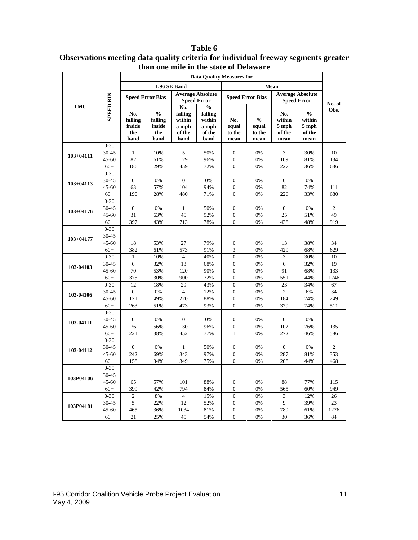|               |                       | one have in the state of <i>D</i> clawar<br><b>Data Quality Measures for</b> |                         |                      |                                               |                                    |                         |                                               |                |                |
|---------------|-----------------------|------------------------------------------------------------------------------|-------------------------|----------------------|-----------------------------------------------|------------------------------------|-------------------------|-----------------------------------------------|----------------|----------------|
|               |                       |                                                                              |                         | 1.96 SE Band         |                                               |                                    |                         | Mean                                          |                |                |
|               |                       |                                                                              |                         |                      | <b>Average Absolute</b><br><b>Speed Error</b> |                                    |                         | <b>Average Absolute</b><br><b>Speed Error</b> |                |                |
|               | <b>SPEED BIN</b>      |                                                                              | <b>Speed Error Bias</b> |                      |                                               |                                    | <b>Speed Error Bias</b> |                                               |                |                |
| TMC           |                       |                                                                              |                         | No.                  | $\frac{0}{0}$                                 |                                    |                         |                                               |                | No. of<br>Obs. |
|               |                       | No.                                                                          | $\frac{0}{0}$           | falling              | falling                                       |                                    |                         | No.                                           | $\frac{0}{0}$  |                |
|               |                       | falling                                                                      | falling                 | within               | within                                        | No.                                | $\frac{0}{0}$           | within                                        | within         |                |
|               |                       | inside                                                                       | inside                  | 5 mph                | 5 mph                                         | equal                              | equal                   | 5 mph                                         | 5 mph          |                |
|               |                       | the<br>band                                                                  | the<br>band             | of the<br>band       | of the<br>band                                | to the<br>mean                     | to the<br>mean          | of the<br>mean                                | of the<br>mean |                |
|               | $0 - 30$              |                                                                              |                         |                      |                                               |                                    |                         |                                               |                |                |
| $103 + 04111$ | $30 - 45$             | $\mathbf{1}$                                                                 | 10%                     | 5                    | 50%                                           | $\boldsymbol{0}$                   | 0%                      | 3                                             | 30%            | 10             |
|               | $45 - 60$             | 82                                                                           | 61%                     | 129                  | 96%                                           | $\boldsymbol{0}$                   | 0%                      | 109                                           | 81%            | 134            |
|               | $60+$                 | 186                                                                          | 29%                     | 459                  | 72%                                           | $\mathbf{0}$                       | 0%                      | 227                                           | 36%            | 636            |
|               | $0 - 30$              |                                                                              |                         |                      |                                               |                                    |                         |                                               |                |                |
| $103 + 04113$ | $30 - 45$             | $\boldsymbol{0}$                                                             | 0%                      | $\boldsymbol{0}$     | 0%                                            | $\boldsymbol{0}$                   | 0%                      | $\boldsymbol{0}$                              | 0%             | $\mathbf{1}$   |
|               | $45 - 60$             | 63                                                                           | 57%                     | 104                  | 94%                                           | $\boldsymbol{0}$                   | 0%                      | 82                                            | 74%            | 111            |
|               | $60+$                 | 190                                                                          | 28%                     | 480                  | 71%                                           | $\overline{0}$                     | 0%                      | 226                                           | 33%            | 680            |
|               | $0 - 30$              |                                                                              |                         |                      |                                               |                                    |                         |                                               |                |                |
| $103 + 04176$ | $30 - 45$             | $\mathbf{0}$                                                                 | 0%                      | $\mathbf{1}$         | 50%                                           | $\overline{0}$                     | 0%                      | $\boldsymbol{0}$                              | 0%             | $\overline{c}$ |
|               | $45 - 60$             | 31                                                                           | 63%                     | 45                   | 92%                                           | $\boldsymbol{0}$                   | 0%                      | 25                                            | 51%            | 49             |
|               | $60+$                 | 397                                                                          | 43%                     | 713                  | 78%                                           | $\overline{0}$                     | 0%                      | 438                                           | 48%            | 919            |
|               | $0 - 30$              |                                                                              |                         |                      |                                               |                                    |                         |                                               |                |                |
| $103 + 04177$ | 30-45                 |                                                                              |                         |                      |                                               |                                    |                         |                                               |                |                |
|               | $45 - 60$             | 18                                                                           | 53%                     | 27                   | 79%                                           | $\boldsymbol{0}$                   | 0%                      | 13                                            | 38%            | 34             |
|               | $60+$                 | 382                                                                          | 61%                     | 573                  | 91%                                           | 3                                  | 0%                      | 429                                           | 68%            | 629            |
|               | $0 - 30$              | $\mathbf{1}$                                                                 | 10%                     | $\overline{4}$       | 40%                                           | $\overline{0}$                     | 0%                      | 3                                             | 30%            | 10             |
| 103-04103     | $30 - 45$             | 6                                                                            | 32%                     | 13                   | 68%                                           | $\boldsymbol{0}$                   | 0%                      | 6                                             | 32%            | 19             |
|               | $45 - 60$             | 70                                                                           | 53%                     | 120                  | 90%                                           | $\overline{0}$                     | 0%                      | 91                                            | 68%            | 133            |
|               | $60+$                 | 375                                                                          | 30%                     | 900                  | 72%                                           | $\boldsymbol{0}$                   | 0%                      | 551                                           | 44%            | 1246           |
|               | $0 - 30$<br>$30 - 45$ | 12                                                                           | 18%                     | 29<br>$\overline{4}$ | 43%                                           | $\boldsymbol{0}$                   | 0%<br>0%                | 23<br>$\overline{c}$                          | 34%            | 67<br>34       |
| 103-04106     |                       | $\boldsymbol{0}$                                                             | 0%                      |                      | 12%                                           | $\boldsymbol{0}$                   |                         |                                               | 6%             |                |
|               | $45 - 60$             | 121                                                                          | 49%                     | 220                  | 88%<br>93%                                    | $\boldsymbol{0}$<br>$\overline{0}$ | 0%<br>0%                | 184<br>379                                    | 74%            | 249<br>511     |
|               | $60+$                 | 263                                                                          | 51%                     | 473                  |                                               |                                    |                         |                                               | 74%            |                |
|               | $0 - 30$<br>$30 - 45$ | $\boldsymbol{0}$                                                             | 0%                      | $\boldsymbol{0}$     | 0%                                            | $\boldsymbol{0}$                   | 0%                      | $\boldsymbol{0}$                              | 0%             | $\mathbf{1}$   |
| 103-04111     | $45 - 60$             | 76                                                                           | 56%                     | 130                  | 96%                                           | $\boldsymbol{0}$                   | 0%                      | 102                                           | 76%            | 135            |
|               | $60+$                 | 221                                                                          | 38%                     | 452                  | 77%                                           | $\mathbf{1}$                       | 0%                      | 272                                           | 46%            | 586            |
|               | $0 - 30$              |                                                                              |                         |                      |                                               |                                    |                         |                                               |                |                |
|               | $30 - 45$             | $\boldsymbol{0}$                                                             | 0%                      | $\mathbf{1}$         | 50%                                           | $\boldsymbol{0}$                   | 0%                      | $\boldsymbol{0}$                              | 0%             | 2              |
| 103-04112     | $45 - 60$             | 242                                                                          | 69%                     | 343                  | 97%                                           | $\overline{0}$                     | 0%                      | 287                                           | 81%            | 353            |
|               | $60+$                 | 158                                                                          | 34%                     | 349                  | 75%                                           | $\overline{0}$                     | 0%                      | 208                                           | 44%            | 468            |
|               | $0 - 30$              |                                                                              |                         |                      |                                               |                                    |                         |                                               |                |                |
|               | $30 - 45$             |                                                                              |                         |                      |                                               |                                    |                         |                                               |                |                |
| 103P04106     | $45 - 60$             | 65                                                                           | 57%                     | 101                  | 88%                                           | $\overline{0}$                     | 0%                      | 88                                            | 77%            | 115            |
|               | $60+$                 | 399                                                                          | 42%                     | 794                  | 84%                                           | $\mathbf{0}$                       | 0%                      | 565                                           | 60%            | 949            |
|               | $0 - 30$              | $\mathfrak{2}$                                                               | 8%                      | $\overline{4}$       | 15%                                           | $\overline{0}$                     | 0%                      | 3                                             | 12%            | 26             |
|               | 30-45                 | 5                                                                            | 22%                     | 12                   | 52%                                           | $\boldsymbol{0}$                   | 0%                      | 9                                             | 39%            | 23             |
| 103P04181     | $45 - 60$             | 465                                                                          | 36%                     | 1034                 | 81%                                           | $\boldsymbol{0}$                   | 0%                      | 780                                           | 61%            | 1276           |
|               | $60+$                 | 21                                                                           | 25%                     | 45                   | 54%                                           | $\overline{0}$                     | 0%                      | 30                                            | 36%            | 84             |

**Table 6 Observations meeting data quality criteria for individual freeway segments greater than one mile in the state of Delaware**